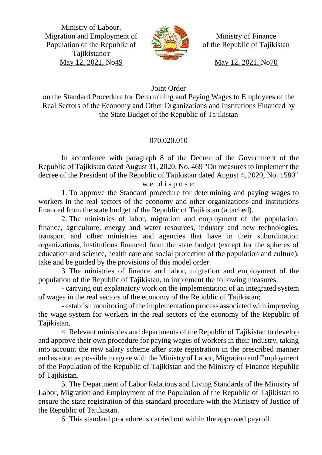Ministry of Labour, Migration and Employment of Population of the Republic of Tajikistanот May 12, 2021, No49



Ministry of Finance of the Republic of Tajikistan

May 12, 2021, No70

# Joint Order

on the Standard Procedure for Determining and Paying Wages to Employees of the Real Sectors of the Economy and Other Organizations and Institutions Financed by the State Budget of the Republic of Tajikistan

# 070.020.010

In accordance with paragraph 8 of the Decree of the Government of the Republic of Tajikistan dated August 31, 2020, No. 469 "On measures to implement the decree of the President of the Republic of Tajikistan dated August 4, 2020, No. 1580"

### we dispose:

1. To approve the Standard procedure for determining and paying wages to workers in the real sectors of the economy and other organizations and institutions financed from the state budget of the Republic of Tajikistan (attached).

2. The ministries of labor, migration and employment of the population, finance, agriculture, energy and water resources, industry and new technologies, transport and other ministries and agencies that have in their subordination organizations, institutions financed from the state budget (except for the spheres of education and science, health care and social protection of the population and culture), take and be guided by the provisions of this model order.

3. The ministries of finance and labor, migration and employment of the population of the Republic of Tajikistan, to implement the following measures:

- carrying out explanatory work on the implementation of an integrated system of wages in the real sectors of the economy of the Republic of Tajikistan;

- establish monitoring of the implementation process associated with improving the wage system for workers in the real sectors of the economy of the Republic of Tajikistan.

4. Relevant ministries and departments of the Republic of Tajikistan to develop and approve their own procedure for paying wages of workers in their industry, taking into account the new salary scheme after state registration in the prescribed manner and as soon as possible to agree with the Ministry of Labor, Migration and Employment of the Population of the Republic of Tajikistan and the Ministry of Finance Republic of Tajikistan.

5. The Department of Labor Relations and Living Standards of the Ministry of Labor, Migration and Employment of the Population of the Republic of Tajikistan to ensure the state registration of this standard procedure with the Ministry of Justice of the Republic of Tajikistan.

6. This standard procedure is carried out within the approved payroll.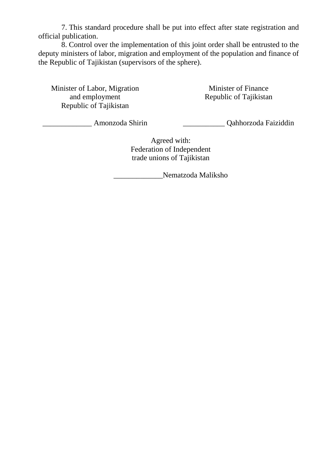7. This standard procedure shall be put into effect after state registration and official publication.

8. Control over the implementation of this joint order shall be entrusted to the deputy ministers of labor, migration and employment of the population and finance of the Republic of Tajikistan (supervisors of the sphere).

Minister of Labor, Migration and employment Republic of Tajikistan

Minister of Finance Republic of Tajikistan

\_\_\_\_\_\_\_\_\_\_\_\_\_ Amonzoda Shirin

\_\_\_\_\_\_\_\_\_\_\_ Qahhorzoda Faiziddin

Agreed with: Federation of Independent trade unions of Tajikistan

\_\_\_\_\_\_\_\_\_\_\_\_\_Nematzoda Maliksho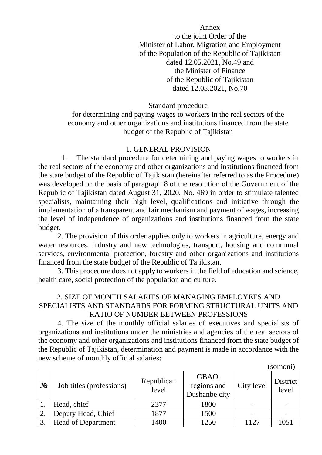Annex to the joint Order of the Minister of Labor, Migration and Employment of the Population of the Republic of Tajikistan dated 12.05.2021, No.49 and the Minister of Finance of the Republic of Tajikistan dated 12.05.2021, No.70

Standard procedure

for determining and paying wages to workers in the real sectors of the economy and other organizations and institutions financed from the state budget of the Republic of Tajikistan

### 1. GENERAL PROVISION

1. The standard procedure for determining and paying wages to workers in the real sectors of the economy and other organizations and institutions financed from the state budget of the Republic of Tajikistan (hereinafter referred to as the Procedure) was developed on the basis of paragraph 8 of the resolution of the Government of the Republic of Tajikistan dated August 31, 2020, No. 469 in order to stimulate talented specialists, maintaining their high level, qualifications and initiative through the implementation of a transparent and fair mechanism and payment of wages, increasing the level of independence of organizations and institutions financed from the state budget.

2. The provision of this order applies only to workers in agriculture, energy and water resources, industry and new technologies, transport, housing and communal services, environmental protection, forestry and other organizations and institutions financed from the state budget of the Republic of Tajikistan.

3. This procedure does not apply to workers in the field of education and science, health care, social protection of the population and culture.

## 2. SIZE OF MONTH SALARIES OF MANAGING EMPLOYEES AND SPECIALISTS AND STANDARDS FOR FORMING STRUCTURAL UNITS AND RATIO OF NUMBER BETWEEN PROFESSIONS

4. The size of the monthly official salaries of executives and specialists of organizations and institutions under the ministries and agencies of the real sectors of the economy and other organizations and institutions financed from the state budget of the Republic of Tajikistan, determination and payment is made in accordance with the new scheme of monthly official salaries:

(somoni)

| 501110111 |                           |                     |                                       |            |                   |  |
|-----------|---------------------------|---------------------|---------------------------------------|------------|-------------------|--|
| $N_2$     | Job titles (professions)  | Republican<br>level | GBAO,<br>regions and<br>Dushanbe city | City level | District<br>level |  |
|           | Head, chief               | 2377                | 1800                                  |            |                   |  |
| 2.        | Deputy Head, Chief        | 1877                | 1500                                  |            |                   |  |
| 3.        | <b>Head of Department</b> | 1400                | 1250                                  | 1127       | 1051              |  |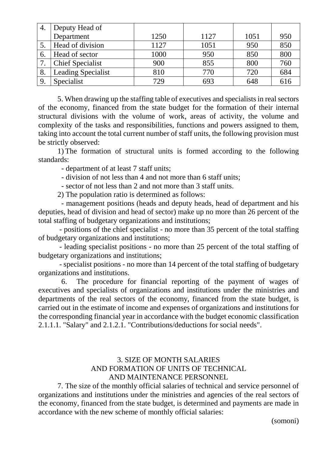|    | Deputy Head of            |      |      |      |     |
|----|---------------------------|------|------|------|-----|
|    | Department                | 1250 | 1127 | 1051 | 950 |
|    | Head of division          | 1127 | 1051 | 950  | 850 |
| 6. | Head of sector            | 1000 | 950  | 850  | 800 |
| 7  | <b>Chief Specialist</b>   | 900  | 855  | 800  | 760 |
| 8. | <b>Leading Specialist</b> | 810  | 770  | 720  | 684 |
| 9. | Specialist                | 729  | 693  | 648  | 616 |

5. When drawing up the staffing table of executives and specialists in real sectors of the economy, financed from the state budget for the formation of their internal structural divisions with the volume of work, areas of activity, the volume and complexity of the tasks and responsibilities, functions and powers assigned to them, taking into account the total current number of staff units, the following provision must be strictly observed:

1) The formation of structural units is formed according to the following standards:

- department of at least 7 staff units;

- division of not less than 4 and not more than 6 staff units;

- sector of not less than 2 and not more than 3 staff units.

2) The population ratio is determined as follows:

- management positions (heads and deputy heads, head of department and his deputies, head of division and head of sector) make up no more than 26 percent of the total staffing of budgetary organizations and institutions;

- positions of the chief specialist - no more than 35 percent of the total staffing of budgetary organizations and institutions;

- leading specialist positions - no more than 25 percent of the total staffing of budgetary organizations and institutions;

- specialist positions - no more than 14 percent of the total staffing of budgetary organizations and institutions.

6. The procedure for financial reporting of the payment of wages of executives and specialists of organizations and institutions under the ministries and departments of the real sectors of the economy, financed from the state budget, is carried out in the estimate of income and expenses of organizations and institutions for the corresponding financial year in accordance with the budget economic classification 2.1.1.1. "Salary" and 2.1.2.1. "Contributions/deductions for social needs".

## 3. SIZE OF MONTH SALARIES AND FORMATION OF UNITS OF TECHNICAL AND MAINTENANCE PERSONNEL

7. The size of the monthly official salaries of technical and service personnel of organizations and institutions under the ministries and agencies of the real sectors of the economy, financed from the state budget, is determined and payments are made in accordance with the new scheme of monthly official salaries:

(somoni)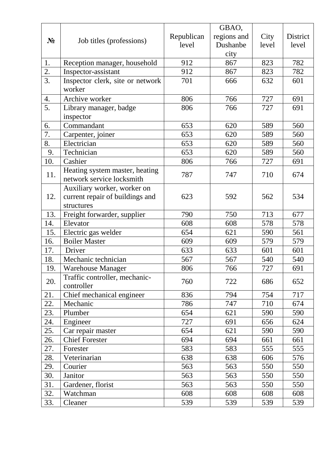|       |                                                                |            | GBAO,       |       |                 |
|-------|----------------------------------------------------------------|------------|-------------|-------|-----------------|
|       |                                                                | Republican | regions and | City  | <b>District</b> |
| $N_2$ | Job titles (professions)                                       | level      | Dushanbe    | level | level           |
|       |                                                                |            | city        |       |                 |
| 1.    | Reception manager, household                                   | 912        | 867         | 823   | 782             |
| 2.    | Inspector-assistant                                            | 912        | 867         | 823   | 782             |
| 3.    | Inspector clerk, site or network                               | 701        | 666         | 632   | 601             |
|       | worker                                                         |            |             |       |                 |
| 4.    | Archive worker                                                 | 806        | 766         | 727   | 691             |
| 5.    | Library manager, badge                                         | 806        | 766         | 727   | 691             |
|       | inspector                                                      |            |             |       |                 |
| 6.    | Commandant                                                     | 653        | 620         | 589   | 560             |
| 7.    | Carpenter, joiner                                              | 653        | 620         | 589   | 560             |
| 8.    | Electrician                                                    | 653        | 620         | 589   | 560             |
| 9.    | Technician                                                     | 653        | 620         | 589   | 560             |
| 10.   | Cashier                                                        | 806        | 766         | 727   | 691             |
| 11.   | Heating system master, heating<br>network service locksmith    | 787        | 747         | 710   | 674             |
| 12.   | Auxiliary worker, worker on<br>current repair of buildings and | 623        | 592         | 562   | 534             |
|       | structures                                                     |            |             |       |                 |
| 13.   | Freight forwarder, supplier                                    | 790        | 750         | 713   | 677             |
| 14.   | Elevator                                                       | 608        | 608         | 578   | 578             |
| 15.   | Electric gas welder                                            | 654        | 621         | 590   | 561             |
| 16.   | <b>Boiler Master</b>                                           | 609        | 609         | 579   | 579             |
| 17.   | Driver                                                         | 633        | 633         | 601   | 601             |
| 18.   | Mechanic technician                                            | 567        | 567         | 540   | 540             |
| 19.   | <b>Warehouse Manager</b>                                       | 806        | 766         | 727   | 691             |
| 20.   | Traffic controller, mechanic-<br>controller                    | 760        | 722         | 686   | 652             |
| 21.   | Chief mechanical engineer                                      | 836        | 794         | 754   | 717             |
| 22.   | Mechanic                                                       | 786        | 747         | 710   | 674             |
| 23.   | Plumber                                                        | 654        | 621         | 590   | 590             |
| 24.   | Engineer                                                       | 727        | 691         | 656   | 624             |
| 25.   | Car repair master                                              | 654        | 621         | 590   | 590             |
| 26.   | <b>Chief Forester</b>                                          | 694        | 694         | 661   | 661             |
| 27.   | Forester                                                       | 583        | 583         | 555   | 555             |
| 28.   | Veterinarian                                                   | 638        | 638         | 606   | 576             |
| 29.   | Courier                                                        | 563        | 563         | 550   | 550             |
| 30.   | Janitor                                                        | 563        | 563         | 550   | 550             |
| 31.   | Gardener, florist                                              | 563        | 563         | 550   | 550             |
| 32.   | Watchman                                                       | 608        | 608         | 608   | 608             |
| 33.   | Cleaner                                                        | 539        | 539         | 539   | 539             |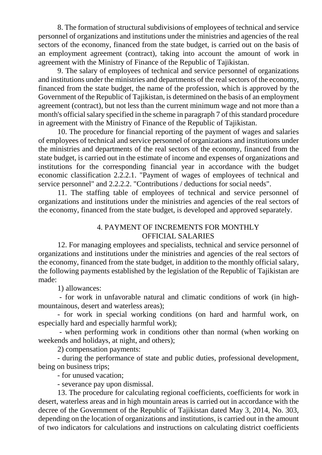8. The formation of structural subdivisions of employees of technical and service personnel of organizations and institutions under the ministries and agencies of the real sectors of the economy, financed from the state budget, is carried out on the basis of an employment agreement (contract), taking into account the amount of work in agreement with the Ministry of Finance of the Republic of Tajikistan.

9. The salary of employees of technical and service personnel of organizations and institutions under the ministries and departments of the real sectors of the economy, financed from the state budget, the name of the profession, which is approved by the Government of the Republic of Tajikistan, is determined on the basis of an employment agreement (contract), but not less than the current minimum wage and not more than a month's official salary specified in the scheme in paragraph 7 of this standard procedure in agreement with the Ministry of Finance of the Republic of Tajikistan.

10. The procedure for financial reporting of the payment of wages and salaries of employees of technical and service personnel of organizations and institutions under the ministries and departments of the real sectors of the economy, financed from the state budget, is carried out in the estimate of income and expenses of organizations and institutions for the corresponding financial year in accordance with the budget economic classification 2.2.2.1. "Payment of wages of employees of technical and service personnel" and 2.2.2.2. "Contributions / deductions for social needs".

11. The staffing table of employees of technical and service personnel of organizations and institutions under the ministries and agencies of the real sectors of the economy, financed from the state budget, is developed and approved separately.

## 4. PAYMENT OF INCREMENTS FOR MONTHLY OFFICIAL SALARIES

12. For managing employees and specialists, technical and service personnel of organizations and institutions under the ministries and agencies of the real sectors of the economy, financed from the state budget, in addition to the monthly official salary, the following payments established by the legislation of the Republic of Tajikistan are made:

1) allowances:

- for work in unfavorable natural and climatic conditions of work (in highmountainous, desert and waterless areas);

- for work in special working conditions (on hard and harmful work, on especially hard and especially harmful work);

- when performing work in conditions other than normal (when working on weekends and holidays, at night, and others);

2) compensation payments:

- during the performance of state and public duties, professional development, being on business trips;

- for unused vacation;

- severance pay upon dismissal.

13. The procedure for calculating regional coefficients, coefficients for work in desert, waterless areas and in high mountain areas is carried out in accordance with the decree of the Government of the Republic of Tajikistan dated May 3, 2014, No. 303, depending on the location of organizations and institutions, is carried out in the amount of two indicators for calculations and instructions on calculating district coefficients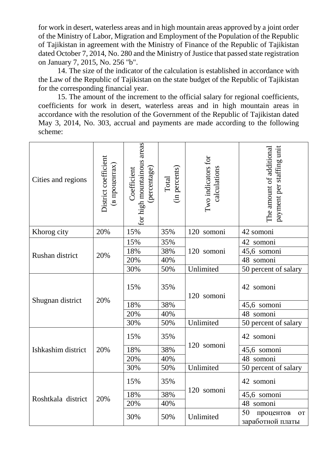for work in desert, waterless areas and in high mountain areas approved by a joint order of the Ministry of Labor, Migration and Employment of the Population of the Republic of Tajikistan in agreement with the Ministry of Finance of the Republic of Tajikistan dated October 7, 2014, No. 280 and the Ministry of Justice that passed state registration on January 7, 2015, No. 256 "b".

14. The size of the indicator of the calculation is established in accordance with the Law of the Republic of Tajikistan on the state budget of the Republic of Tajikistan for the corresponding financial year.

15. The amount of the increment to the official salary for regional coefficients, coefficients for work in desert, waterless areas and in high mountain areas in accordance with the resolution of the Government of the Republic of Tajikistan dated May 3, 2014, No. 303, accrual and payments are made according to the following scheme:

| Cities and regions | District coefficient<br>(в процентах) | for high mountainous areas<br>(percentage)<br>Coefficient | (in percents)<br>Total | Two indicators for<br>calculations | payment per staffing unit<br>The amount of additional |  |
|--------------------|---------------------------------------|-----------------------------------------------------------|------------------------|------------------------------------|-------------------------------------------------------|--|
| Khorog city        | 20%                                   | 15%                                                       | 35%                    | 120 somoni                         | 42 somoni                                             |  |
|                    | 20%                                   | 15%                                                       | 35%                    |                                    | 42 somoni                                             |  |
| Rushan district    |                                       | 18%                                                       | 38%                    | 120 somoni                         | 45,6 somoni                                           |  |
|                    |                                       | 20%                                                       | 40%                    |                                    | 48 somoni                                             |  |
|                    |                                       | 30%                                                       | 50%                    | Unlimited                          | 50 percent of salary                                  |  |
|                    | 20%                                   | 15%                                                       | 35%                    | 120 somoni                         | 42 somoni                                             |  |
| Shugnan district   |                                       | 18%                                                       | 38%                    |                                    | 45,6 somoni                                           |  |
|                    |                                       | 20%                                                       | 40%                    |                                    | 48 somoni                                             |  |
|                    |                                       | 30%                                                       | 50%                    | Unlimited                          | 50 percent of salary                                  |  |
|                    |                                       | 15%                                                       | 35%                    |                                    | 42 somoni                                             |  |
| Ishkashim district | 20%                                   | 18%                                                       | 38%                    | 120 somoni                         | 45,6 somoni                                           |  |
|                    |                                       | 20%                                                       | 40%                    |                                    | 48 somoni                                             |  |
|                    |                                       | 30%                                                       | 50%                    | Unlimited                          | 50 percent of salary                                  |  |
|                    | 20%                                   | 15%                                                       | 35%                    |                                    | 42 somoni                                             |  |
|                    |                                       | 18%                                                       | 38%                    | 120 somoni                         | 45,6 somoni                                           |  |
| Roshtkala district |                                       | 20%                                                       | 40%                    |                                    | 48 somoni                                             |  |
|                    |                                       | 30%                                                       | 50%                    | Unlimited                          | 50<br>процентов<br><b>OT</b><br>заработной платы      |  |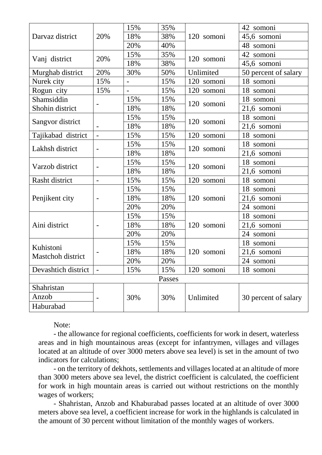|                                | 20%                      | 15% | 35% | 120 somoni    | 42 somoni            |  |  |
|--------------------------------|--------------------------|-----|-----|---------------|----------------------|--|--|
| Darvaz district                |                          | 18% | 38% |               | 45,6 somoni          |  |  |
|                                |                          | 20% | 40% |               | 48 somoni            |  |  |
|                                | 20%                      | 15% | 35% | 120 somoni    | 42 somoni            |  |  |
| Vanj district                  |                          | 18% | 38% |               | 45,6 somoni          |  |  |
| Murghab district               | 20%                      | 30% | 50% | Unlimited     | 50 percent of salary |  |  |
| Nurek city                     | 15%                      |     | 15% | 120<br>somoni | 18 somoni            |  |  |
| Rogun city                     | 15%                      |     | 15% | 120 somoni    | 18 somoni            |  |  |
| Shamsiddin                     |                          | 15% | 15% | 120 somoni    | 18 somoni            |  |  |
| Shohin district                |                          | 18% | 18% |               | 21,6 somoni          |  |  |
|                                |                          | 15% | 15% |               | 18 somoni            |  |  |
| Sangvor district               |                          | 18% | 18% | 120 somoni    | 21,6 somoni          |  |  |
| Tajikabad district             | $\overline{a}$           | 15% | 15% | 120 somoni    | 18 somoni            |  |  |
|                                | $\overline{\phantom{0}}$ | 15% | 15% | 120 somoni    | 18 somoni            |  |  |
| Lakhsh district                |                          | 18% | 18% |               | 21,6 somoni          |  |  |
|                                |                          | 15% | 15% | 120 somoni    | 18 somoni            |  |  |
| Varzob district                |                          | 18% | 18% |               | $21,6$ somoni        |  |  |
| Rasht district                 |                          | 15% | 15% | 120 somoni    | 18 somoni            |  |  |
|                                |                          | 15% | 15% | 120 somoni    | 18 somoni            |  |  |
| Penjikent city                 |                          | 18% | 18% |               | 21,6 somoni          |  |  |
|                                |                          | 20% | 20% |               | 24 somoni            |  |  |
|                                |                          | 15% | 15% | 120 somoni    | 18 somoni            |  |  |
| Aini district                  |                          | 18% | 18% |               | 21,6 somoni          |  |  |
|                                |                          | 20% | 20% |               | 24 somoni            |  |  |
|                                |                          | 15% | 15% | 120 somoni    | 18 somoni            |  |  |
| Kuhistoni<br>Mastchoh district |                          | 18% | 18% |               | 21,6 somoni          |  |  |
|                                |                          | 20% | 20% |               | 24 somoni            |  |  |
| Devashtich district            |                          | 15% | 15% | 120 somoni    | 18 somoni            |  |  |
| Passes                         |                          |     |     |               |                      |  |  |
| Shahristan                     |                          |     |     |               |                      |  |  |
| Anzob                          |                          | 30% | 30% | Unlimited     | 30 percent of salary |  |  |
| Haburabad                      |                          |     |     |               |                      |  |  |

Note:

- the allowance for regional coefficients, coefficients for work in desert, waterless areas and in high mountainous areas (except for infantrymen, villages and villages located at an altitude of over 3000 meters above sea level) is set in the amount of two indicators for calculations;

- on the territory of dekhots, settlements and villages located at an altitude of more than 3000 meters above sea level, the district coefficient is calculated, the coefficient for work in high mountain areas is carried out without restrictions on the monthly wages of workers;

- Shahristan, Anzob and Khaburabad passes located at an altitude of over 3000 meters above sea level, a coefficient increase for work in the highlands is calculated in the amount of 30 percent without limitation of the monthly wages of workers.